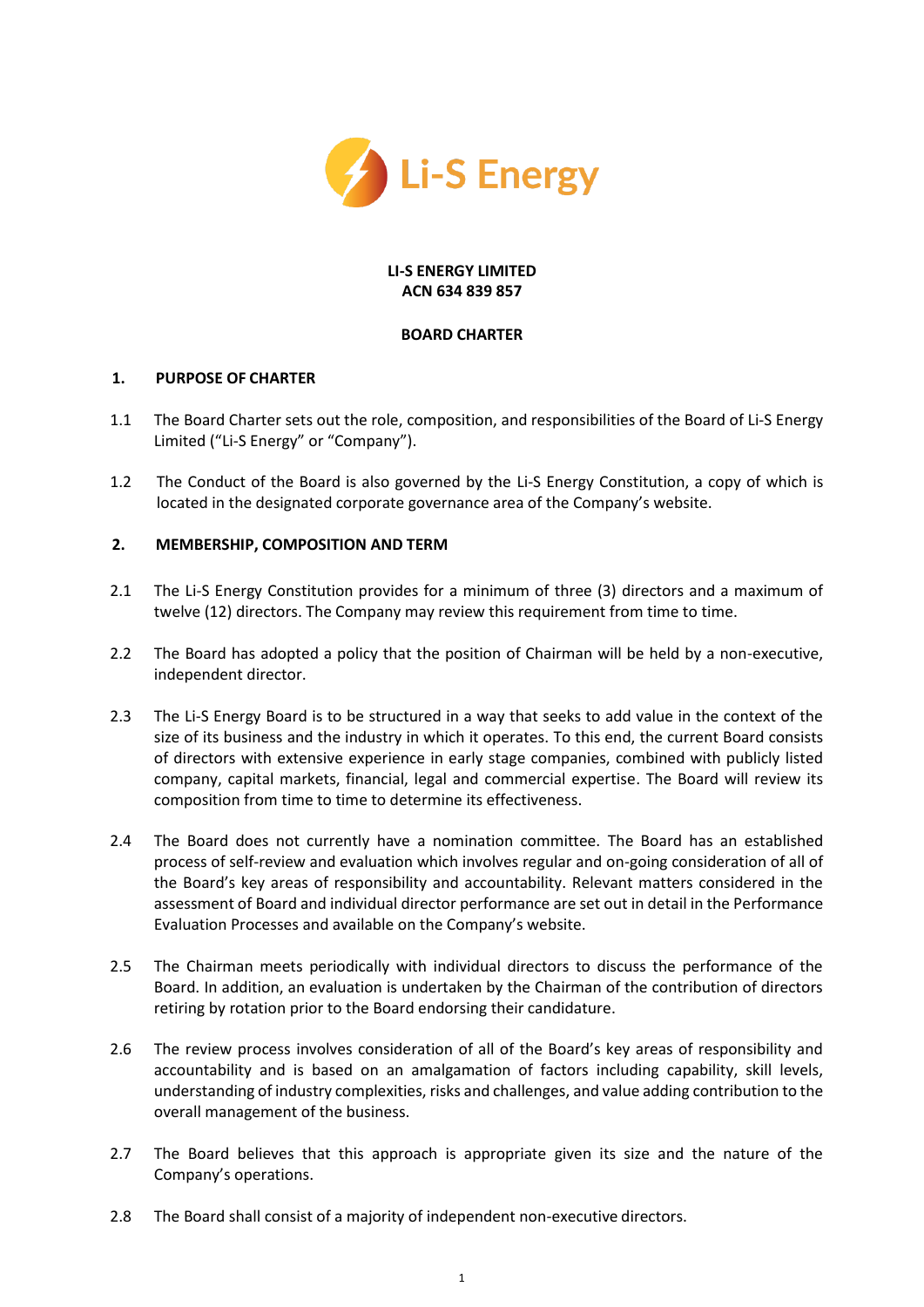

#### **LI-S ENERGY LIMITED ACN 634 839 857**

## **BOARD CHARTER**

## **1. PURPOSE OF CHARTER**

- 1.1 The Board Charter sets out the role, composition, and responsibilities of the Board of Li-S Energy Limited ("Li-S Energy" or "Company").
- 1.2 The Conduct of the Board is also governed by the Li-S Energy Constitution, a copy of which is located in the designated corporate governance area of the Company's website.

## **2. MEMBERSHIP, COMPOSITION AND TERM**

- 2.1 The Li-S Energy Constitution provides for a minimum of three (3) directors and a maximum of twelve (12) directors. The Company may review this requirement from time to time.
- 2.2 The Board has adopted a policy that the position of Chairman will be held by a non-executive, independent director.
- 2.3 The Li-S Energy Board is to be structured in a way that seeks to add value in the context of the size of its business and the industry in which it operates. To this end, the current Board consists of directors with extensive experience in early stage companies, combined with publicly listed company, capital markets, financial, legal and commercial expertise. The Board will review its composition from time to time to determine its effectiveness.
- 2.4 The Board does not currently have a nomination committee. The Board has an established process of self-review and evaluation which involves regular and on-going consideration of all of the Board's key areas of responsibility and accountability. Relevant matters considered in the assessment of Board and individual director performance are set out in detail in the Performance Evaluation Processes and available on the Company's website.
- 2.5 The Chairman meets periodically with individual directors to discuss the performance of the Board. In addition, an evaluation is undertaken by the Chairman of the contribution of directors retiring by rotation prior to the Board endorsing their candidature.
- 2.6 The review process involves consideration of all of the Board's key areas of responsibility and accountability and is based on an amalgamation of factors including capability, skill levels, understanding of industry complexities, risks and challenges, and value adding contribution to the overall management of the business.
- 2.7 The Board believes that this approach is appropriate given its size and the nature of the Company's operations.
- 2.8 The Board shall consist of a majority of independent non-executive directors.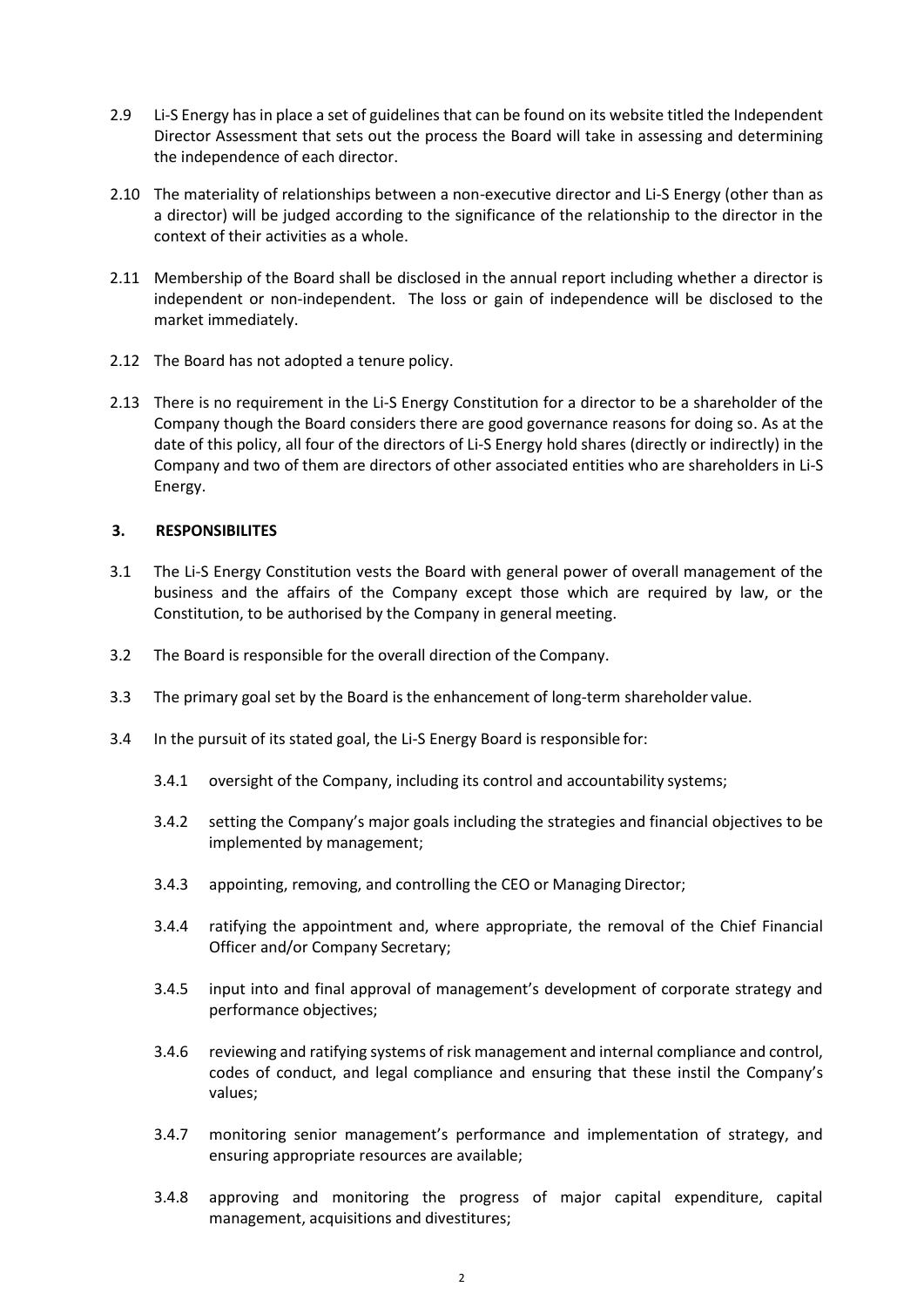- 2.9 Li-S Energy hasin place a set of guidelines that can be found on its website titled the Independent Director Assessment that sets out the process the Board will take in assessing and determining the independence of each director.
- 2.10 The materiality of relationships between a non-executive director and Li-S Energy (other than as a director) will be judged according to the significance of the relationship to the director in the context of their activities as a whole.
- 2.11 Membership of the Board shall be disclosed in the annual report including whether a director is independent or non-independent. The loss or gain of independence will be disclosed to the market immediately.
- 2.12 The Board has not adopted a tenure policy.
- 2.13 There is no requirement in the Li-S Energy Constitution for a director to be a shareholder of the Company though the Board considers there are good governance reasons for doing so. As at the date of this policy, all four of the directors of Li-S Energy hold shares (directly or indirectly) in the Company and two of them are directors of other associated entities who are shareholders in Li-S Energy.

## **3. RESPONSIBILITES**

- 3.1 The Li-S Energy Constitution vests the Board with general power of overall management of the business and the affairs of the Company except those which are required by law, or the Constitution, to be authorised by the Company in general meeting.
- 3.2 The Board is responsible for the overall direction of the Company.
- 3.3 The primary goal set by the Board is the enhancement of long-term shareholder value.
- 3.4 In the pursuit of its stated goal, the Li-S Energy Board is responsible for:
	- 3.4.1 oversight of the Company, including its control and accountability systems;
	- 3.4.2 setting the Company's major goals including the strategies and financial objectives to be implemented by management;
	- 3.4.3 appointing, removing, and controlling the CEO or Managing Director;
	- 3.4.4 ratifying the appointment and, where appropriate, the removal of the Chief Financial Officer and/or Company Secretary;
	- 3.4.5 input into and final approval of management's development of corporate strategy and performance objectives;
	- 3.4.6 reviewing and ratifying systems of risk management and internal compliance and control, codes of conduct, and legal compliance and ensuring that these instil the Company's values;
	- 3.4.7 monitoring senior management's performance and implementation of strategy, and ensuring appropriate resources are available;
	- 3.4.8 approving and monitoring the progress of major capital expenditure, capital management, acquisitions and divestitures;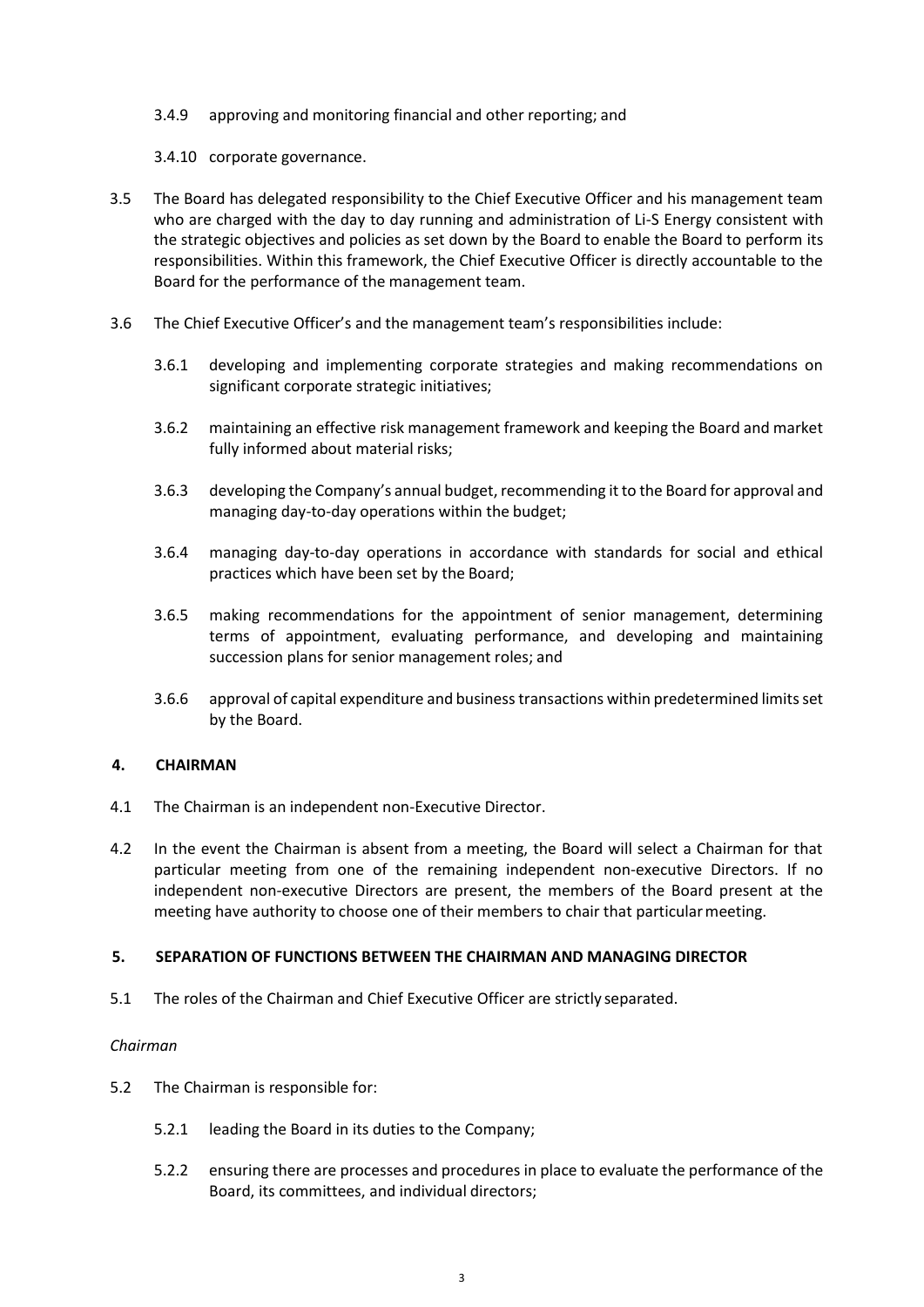- 3.4.9 approving and monitoring financial and other reporting; and
- 3.4.10 corporate governance.
- 3.5 The Board has delegated responsibility to the Chief Executive Officer and his management team who are charged with the day to day running and administration of Li-S Energy consistent with the strategic objectives and policies as set down by the Board to enable the Board to perform its responsibilities. Within this framework, the Chief Executive Officer is directly accountable to the Board for the performance of the management team.
- 3.6 The Chief Executive Officer's and the management team's responsibilities include:
	- 3.6.1 developing and implementing corporate strategies and making recommendations on significant corporate strategic initiatives;
	- 3.6.2 maintaining an effective risk management framework and keeping the Board and market fully informed about material risks;
	- 3.6.3 developing the Company's annual budget, recommending it to the Board for approval and managing day-to-day operations within the budget;
	- 3.6.4 managing day-to-day operations in accordance with standards for social and ethical practices which have been set by the Board;
	- 3.6.5 making recommendations for the appointment of senior management, determining terms of appointment, evaluating performance, and developing and maintaining succession plans for senior management roles; and
	- 3.6.6 approval of capital expenditure and business transactions within predetermined limits set by the Board.

# **4. CHAIRMAN**

- 4.1 The Chairman is an independent non-Executive Director.
- 4.2 In the event the Chairman is absent from a meeting, the Board will select a Chairman for that particular meeting from one of the remaining independent non-executive Directors. If no independent non-executive Directors are present, the members of the Board present at the meeting have authority to choose one of their members to chair that particular meeting.

#### **5. SEPARATION OF FUNCTIONS BETWEEN THE CHAIRMAN AND MANAGING DIRECTOR**

5.1 The roles of the Chairman and Chief Executive Officer are strictly separated.

# *Chairman*

- 5.2 The Chairman is responsible for:
	- 5.2.1 leading the Board in its duties to the Company;
	- 5.2.2 ensuring there are processes and procedures in place to evaluate the performance of the Board, its committees, and individual directors;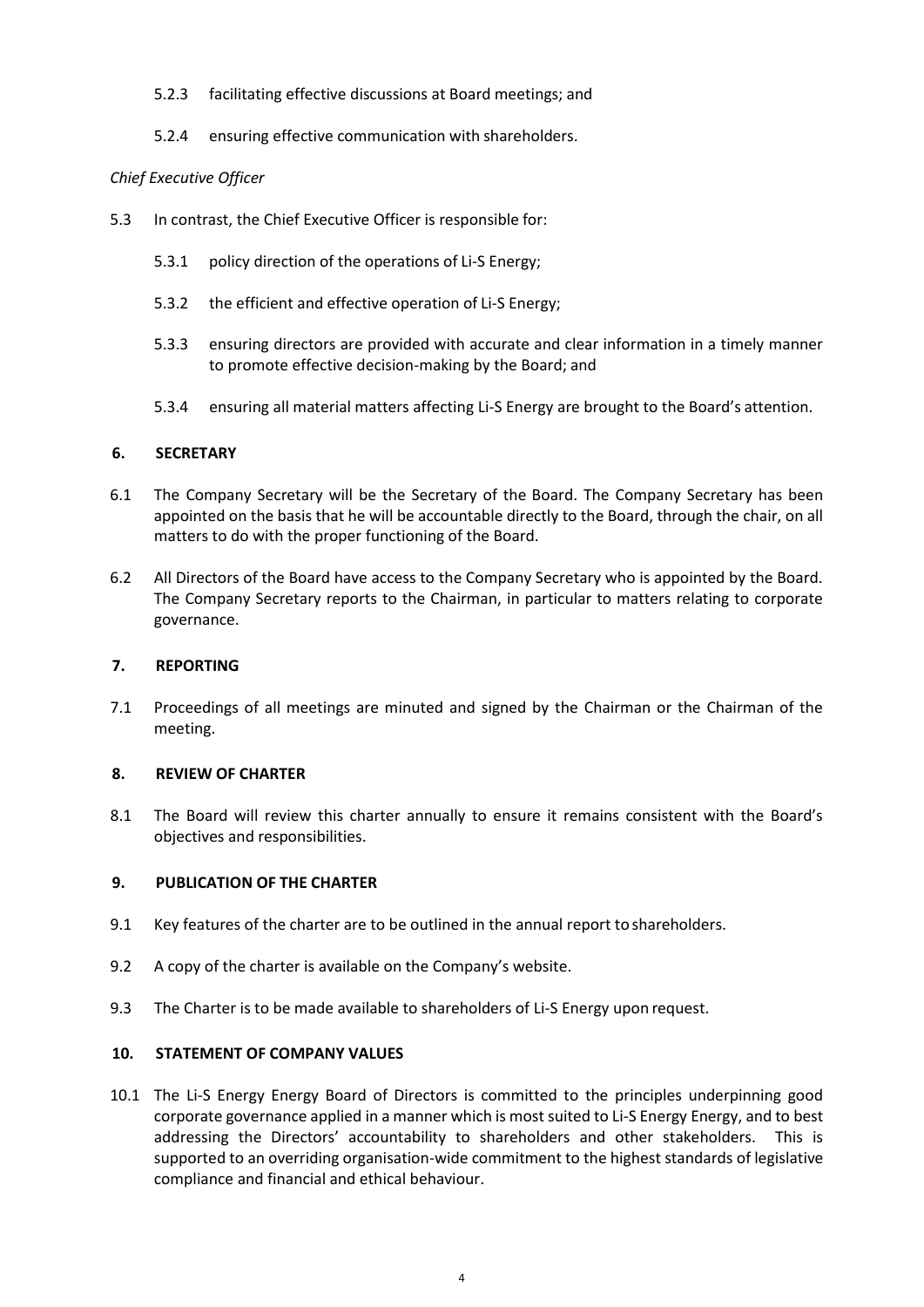### 5.2.3 facilitating effective discussions at Board meetings; and

5.2.4 ensuring effective communication with shareholders.

## *Chief Executive Officer*

- 5.3 In contrast, the Chief Executive Officer is responsible for:
	- 5.3.1 policy direction of the operations of Li-S Energy;
	- 5.3.2 the efficient and effective operation of Li-S Energy;
	- 5.3.3 ensuring directors are provided with accurate and clear information in a timely manner to promote effective decision-making by the Board; and
	- 5.3.4 ensuring all material matters affecting Li-S Energy are brought to the Board's attention.

## **6. SECRETARY**

- 6.1 The Company Secretary will be the Secretary of the Board. The Company Secretary has been appointed on the basis that he will be accountable directly to the Board, through the chair, on all matters to do with the proper functioning of the Board.
- 6.2 All Directors of the Board have access to the Company Secretary who is appointed by the Board. The Company Secretary reports to the Chairman, in particular to matters relating to corporate governance.

#### **7. REPORTING**

7.1 Proceedings of all meetings are minuted and signed by the Chairman or the Chairman of the meeting.

#### **8. REVIEW OF CHARTER**

8.1 The Board will review this charter annually to ensure it remains consistent with the Board's objectives and responsibilities.

#### **9. PUBLICATION OF THE CHARTER**

- 9.1 Key features of the charter are to be outlined in the annual report to shareholders.
- 9.2 A copy of the charter is available on the Company's website.
- 9.3 The Charter is to be made available to shareholders of Li-S Energy upon request.

#### **10. STATEMENT OF COMPANY VALUES**

10.1 The Li-S Energy Energy Board of Directors is committed to the principles underpinning good corporate governance applied in a manner which is most suited to Li-S Energy Energy, and to best addressing the Directors' accountability to shareholders and other stakeholders. This is supported to an overriding organisation-wide commitment to the highest standards of legislative compliance and financial and ethical behaviour.